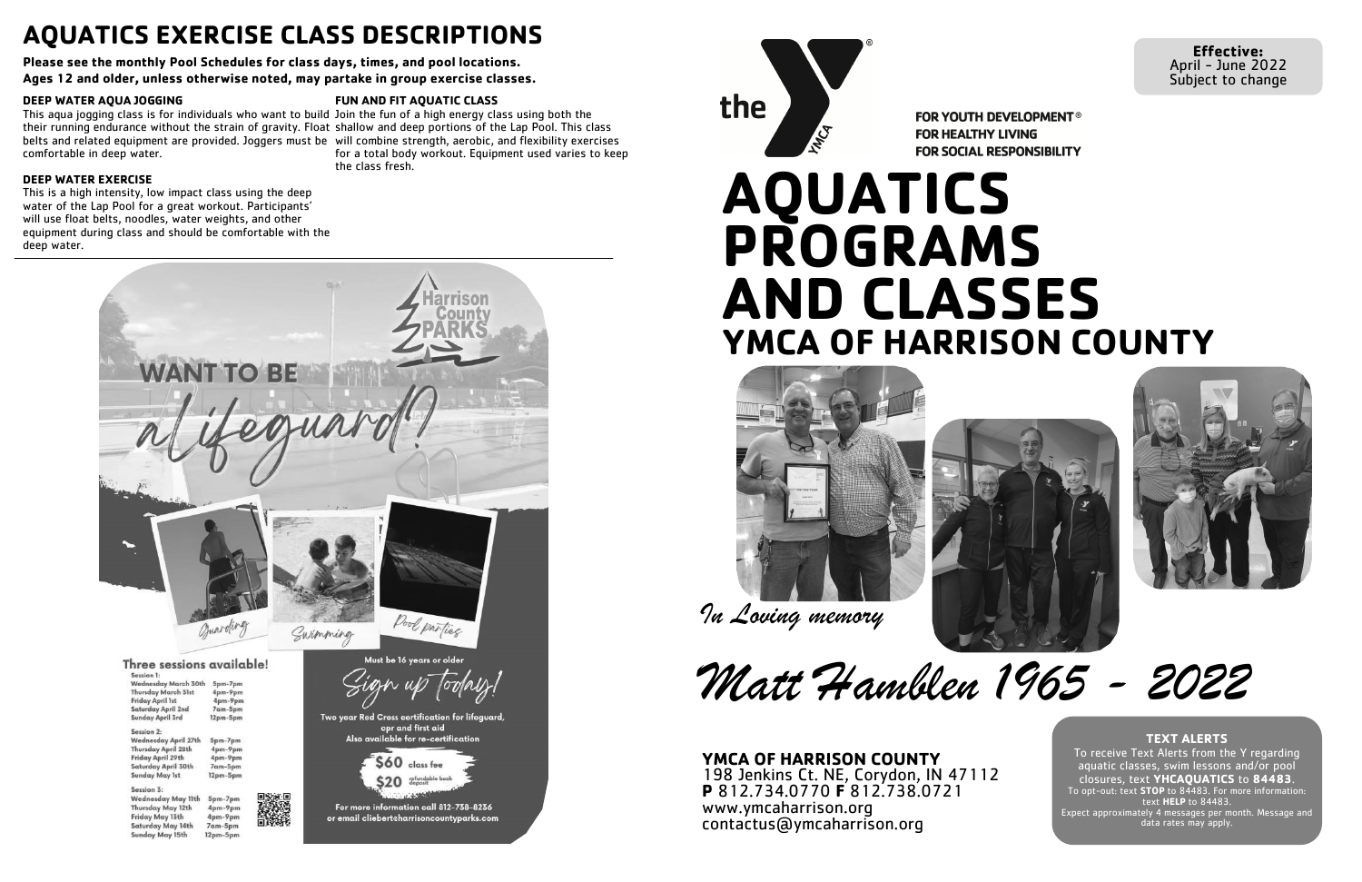# **AQUATICS PROGRAMS AND CLASSES YMCA OF HARRISON COUNTY**

**Effective:**  April - June 2022 Subject to change







# **AQUATICS EXERCISE CLASS DESCRIPTIONS**

**Please see the monthly Pool Schedules for class days, times, and pool locations.** 

**Ages 12 and older, unless otherwise noted, may partake in group exercise classes.** 

#### **DEEP WATER AQUA JOGGING**

#### **DEEP WATER EXERCISE**

This is a high intensity, low impact class using the deep water of the Lap Pool for a great workout. Participants' will use float belts, noodles, water weights, and other equipment during class and should be comfortable with the deep water.



the MING

**FOR YOUTH DEVELOPMENT® FOR HEALTHY LIVING FOR SOCIAL RESPONSIBILITY** 

This aqua jogging class is for individuals who want to build Join the fun of a high energy class using both the their running endurance without the strain of gravity. Float shallow and deep portions of the Lap Pool. This class belts and related equipment are provided. Joggers must be will combine strength, aerobic, and flexibility exercises comfortable in deep water. for a total body workout. Equipment used varies to keep the class fresh.

#### **FUN AND FIT AQUATIC CLASS**

#### **TEXT ALERTS**

To receive Text Alerts from the Y regarding aquatic classes, swim lessons and/or pool closures, text **YHCAQUATICS** to **84483**. To opt-out: text **STOP** to 84483. For more information: text **HELP** to 84483. Expect approximately 4 messages per month. Message and data rates may apply.





*Matt Hamblen 1965 - 2022*

#### **YMCA OF HARRISON COUNTY** 198 Jenkins Ct. NE, Corydon, IN 47112 **P** 812.734.0770 **F** 812.738.0721 www.ymcaharrison.org contactus@ymcaharrison.org